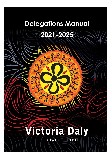# **Delegations Manual 2021-2025**

# **ictoria Daly**

REGIONAL COUNCIL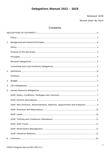# **Delegations Manual 2021 - 2025**

Released: OCM

Review Date: By Term

# Contents

| 1. |                                                                               |
|----|-------------------------------------------------------------------------------|
|    |                                                                               |
|    |                                                                               |
|    |                                                                               |
|    |                                                                               |
|    |                                                                               |
| 2. |                                                                               |
|    |                                                                               |
| 3. |                                                                               |
| 4. |                                                                               |
| 5. |                                                                               |
|    |                                                                               |
|    |                                                                               |
|    | Staff: New Positions, Advertisements, Selection, Appointment and Probation  9 |
|    |                                                                               |
|    |                                                                               |
|    |                                                                               |
|    |                                                                               |
|    |                                                                               |
|    |                                                                               |
| 6. |                                                                               |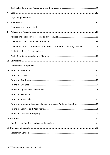| 7. |                                                                          |  |
|----|--------------------------------------------------------------------------|--|
|    |                                                                          |  |
| 8. |                                                                          |  |
|    |                                                                          |  |
| 9. |                                                                          |  |
|    |                                                                          |  |
|    |                                                                          |  |
|    | Documents: Public Statements, Media and Comments on Strategic Issues  18 |  |
|    |                                                                          |  |
|    |                                                                          |  |
|    |                                                                          |  |
|    |                                                                          |  |
|    |                                                                          |  |
|    |                                                                          |  |
|    |                                                                          |  |
|    |                                                                          |  |
|    |                                                                          |  |
|    |                                                                          |  |
|    |                                                                          |  |
|    | Financial: Members Expenses (Council and Local Authority Members) 25     |  |
|    |                                                                          |  |
|    |                                                                          |  |
|    |                                                                          |  |
|    |                                                                          |  |
|    |                                                                          |  |
|    |                                                                          |  |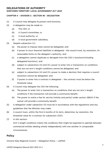#### <span id="page-3-0"></span>**DELEGATIONS OF AUTHORITY**

#### **NORTHERN TERRITORY LOCAL GOVERNMENT ACT <sup>2019</sup>**

#### **CHAPTER 4 – DIVISION 2 ‐ SECTION 40 ‐ DELEGATION**

- (1) A Council may delegate its powers and functions.
- (2) A delegation may be made to:
	- (a) The CEO; or
	- (b) A Council committee; or
	- (c) A local authority; or
	- (d) A local government subsidiary.
- (3) Despite subsection (1):
	- (a) the power to impose rates cannot be delegated; and
	- (b) if power to incur financial liabilities is delegated the council must, by resolution, fix reasonable limits on the delegate's authority; and
	- (c) a delegation cannot duplicate or derogate from the CEO's functions(including delegated functions); and
	- (d) subject to subsections (4) and (5), power to enter into a transaction on conditions that are not arm's length conditions cannot be delegated; and
	- (e) subject to subsections (4) and (5), power to make a decision that requires a council resolution cannot be delegated; and
	- (f) if power to enter into a contract is delegated the contract must be below the threshold value.
- (4) A Council may delegate the CEO the following:
	- (a) The power to enter into a transaction on conditions that are not arm's length conditions if the transaction will provide a community benefit;
	- (b) The power to waive a fee for service (wholly and partly) under section 289(4) if the waiver will provide a community benefit.
- (5) A delegation under subsection (4) must be in accordance with the regulations and any guidelines that the Minister may make.
- (6) A council must, within the first 6 months of its term, determine, by resolution, the threshold value for a contract for subsection (3)(f).
- (7) In this section:

Arm's length conditions means the conditions that might be expected to operate between commercial entities dealing wholly independently with one another in comparable circumstances.

#### <span id="page-3-1"></span>**Policy**

Victoria Daly Regional Council – Delegation Policy – LGP025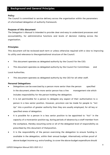#### <span id="page-4-0"></span>**1. Background and General Principles**

#### <span id="page-4-1"></span>**Policy**

The Council is committed to service delivery across the organisation within the parameters of a formalised delegation of authority framework.

#### <span id="page-4-2"></span>**Purpose of this document**

The Delegation's Manual is intended to provide clear and easy to understand processes and accountability, for administrative functions and levels of decision making across the organisation.

#### <span id="page-4-3"></span>**Principles**

This document will be reviewed each term or unless otherwise required with a view to improving its utility and relevance to theorganisational structure of the Council.

- This document operates as delegated authority by the Council for the CEO.
- This document operates as delegated authority by the Council for Committees and

Local Authorities.

This document operates as delegated authority by the CEO for all other staff.

#### <span id="page-4-4"></span>**Personal Delegations**

- Delegations can be exercised by a person more senior than the person specified in the document,where the more senior person has a line management role which includes responsibility for the person holding the delegation.
- It is not permissible for a person to delegate any aspect of their authorisation to a person in a less senior position. However, provision can be made for people to "Act Up" into a position of greater authority than they are usually employed, for all key or specified areas of delegation.
- It is possible for a person in a less senior position to be appointed to "Act" in the capacity of a moresenior position eg. during periods of absence by a staff member from the workplace, thereby assuming some or all of the delegated level of responsibility as prescribed by this document of thatposition.
- It is the responsibility of the person exercising the delegation to ensure funding is available in the delegation, within their annual budget. Alternatively written proof of above‐budget income e.g. extra funding, to cover the above‐budget expenditure should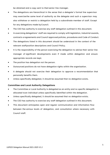be obtained and a copy sent to theirsenior line manager.

- The delegations are hierarchical in the sense that a delegate's formal line supervisor may exercisethe same level of authority as the delegate and such a supervisor may also withdraw or restrict a delegation held by a subordinate member of staff. Except for any delegations made byCouncil.
- The CEO has authority to exercise any staff delegation outlined in this document.
- In exercising delegations' staff are required to comply with legislation, industrial awards, contracts oragreements and Council approved policies, procedures and Code of Conduct.
- The delegations listed in this document should be understood in the context of the relevant staffposition descriptions and Council Policy.
- It is the responsibility of the person exercising the delegation to advise their senior line manager of significant developments even if made within delegation and ensure appropriate records are kept.
- The position has delegation not the person.
- Outsourced positions do not have delegation rights within the organisation.
- A delegate should not exercise their delegation to approve a recommendation that personally benefits them.
- Unless specifically delegated, it should be assumed that no delegation exists.

#### <span id="page-5-0"></span>**Committee and Local Authority Delegations**

- The Committee or Local Authority is delegated as an entity and no specific delegation is allocated toan individual unless specifically identified within the delegation.
- Unless specifically delegated, it should be assumed that no delegation exists.
- The CEO has authority to exercise any staff delegation outlined in this document.
- This document anticipates open and regular communication and information flow between the various levels of delegation, and consultation where necessary with Council staff.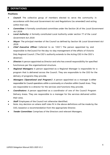# <span id="page-6-0"></span>**2. DEFINITIONS**

#### <span id="page-6-1"></span>**Positions**

- **Council:** The collective group of members elected to serve the community in accordance with theLocal Government Act and Regulations (as amended) and acting within that role.
- **Committee**: A formally constituted committee under the Section 26 of the Local Government Act 2019.
- **Local Authority**: A formally constituted Local Authority under section 77 of the Local Government Act 2019.
- Mayor. The principal member of the Council as defined by Section 58 Local Government Act 2019.
- **Chief Executive Officer:** (referred to as 'CEO') The person appointed by and responsible to theCouncil for the day-to-day management of the affairs of Victoria Daly Regional Council. (The CEO's authority extends to the Acting CEO in the CEO's absence).
- **Director:** A person appointed as Director and who has overall responsibility for specified functionsas per the organisational structure.
- **Regional Managers:** A person appointed as a Regional Manager is responsible for a program that is delivered across the Council. They are responsible to the CEO for the delivery of programs they provide.
- **Managers (Operational and Program):** <sup>A</sup> person appointed as a manager is either responsible for Council operations within a community or a function within Council Area. They are responsible to a director for the services and functions they provide.
- **Coordinators:** <sup>A</sup> person appointed as a coordinator of one of the Council Program Delivery Areas. They are responsible to a manager for the services delivered within their area.
- *Staff*: Employees of the Council not otherwise identified.
- Note: Any decision on where staff roles fit in the above definitions will be made by the CEO, basedon a recommendation from the appropriate Director.
- **Tender Committee**: Comprises of the Directors and relevant Managers.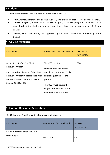# <span id="page-7-0"></span>**3.Budget**

All amounts referred to in this document are exclusive of GST.

- **Council Budget:** (referred to as 'the budget') The annual budget resolved by the Council.
- **Service Budget:** (referred to as 'service budget') A service/program component of the annualbudget, for which a manager or coordinator has been delegated responsibility and control.
- **Staffing Plan:** The staffing plan approved by the Council in the annual regional plan and budget

# <span id="page-7-1"></span>**4. CEO Delegations**

| <b>FUNCTION</b>                                                                                                                                                                                     | Amount and / or Qualification                                                                                                                                                                           | <b>DELEGATED</b><br><b>AUTHORITY</b> |
|-----------------------------------------------------------------------------------------------------------------------------------------------------------------------------------------------------|---------------------------------------------------------------------------------------------------------------------------------------------------------------------------------------------------------|--------------------------------------|
| Appointment of Acting Chief<br><b>Executive Officer</b><br>for a period of absence of the Chief<br>Executive Officer in accordance with<br>the Local Government Act 2019 -<br>Section 165 (3a) (3b) | The CEO must be<br>satisfied that the person<br>appointed as Acting CEO is<br>suitably qualified for the<br>position<br>The CEO must advise the<br>Mayor and the Council when<br>an appointment is made | <b>CEO</b>                           |

# <span id="page-7-2"></span>**5. Human Resource Delegations**

#### <span id="page-7-3"></span>**Staff: Salary, Conditions, Packages and Contracts**

| <b>FUNCTION</b>                 | Amount and / or Qualification | <b>DELEGATED</b><br><b>AUTHORITY</b> |
|---------------------------------|-------------------------------|--------------------------------------|
| Set and approve salaries within |                               |                                      |
| total budget                    | For all staff                 | CEO                                  |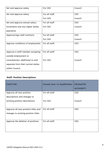| Set and approve salary            | For CEO       | Council    |
|-----------------------------------|---------------|------------|
| Set and approve salary            | For all staff | <b>CEO</b> |
|                                   | For CEO       | Council    |
| Set and approve annual salary     | For all staff | <b>CEO</b> |
| increments and any higher duties  | For CEO       | Council    |
| payments                          |               |            |
| Approve/sign staff contracts      | For all staff | <b>CEO</b> |
|                                   | For CEO       | Council    |
| Approve conditions of employment  | For all staff | <b>CEO</b> |
|                                   |               |            |
| Approve a staff member accepting  | For all staff | <b>CEO</b> |
| outside employment or             |               |            |
| consultancies, additional to and  | For CEO       | Council    |
| separate from their normal duties |               |            |
| within Council.                   |               |            |

# <span id="page-8-0"></span>**Staff: Position Descriptions**

| <b>FUNCTION</b>                     | Amount and / or Qualification | <b>DELEGATED</b><br><b>AUTHORITY</b> |
|-------------------------------------|-------------------------------|--------------------------------------|
| Approve all new position            | For all staff                 | <b>CEO</b>                           |
| descriptions and changes to         |                               |                                      |
| existing position descriptions      | For CEO                       | Council                              |
|                                     |                               |                                      |
| Approve all new position titles and | For all staff                 | <b>CEO</b>                           |
| changes to existing position titles |                               |                                      |
|                                     |                               |                                      |
| Approve the deletion of positions   | For all staff                 | <b>CEO</b>                           |
|                                     |                               |                                      |
|                                     |                               |                                      |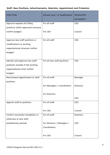# <span id="page-9-0"></span>**Staff: New Positions, Advertisements, Selection, Appointment and Probation**

| <b>FUNCTION</b>                     | Amount and / or Qualification | <b>DELEGATED</b> |
|-------------------------------------|-------------------------------|------------------|
|                                     |                               | <b>AUTHORITY</b> |
| Approve requests for filling        | For all staff                 | CEO              |
| positions within approved structure |                               |                  |
| (within budget)                     | For CEO                       | Council          |
|                                     |                               |                  |
| Approve new staff positions or      | For all staff                 | CEO              |
| modifications to existing           |                               |                  |
| organisational structure (within    |                               |                  |
| budget)                             |                               |                  |
|                                     |                               |                  |
| Identify and approve new staff      | For all new staff positions   | CEO              |
| positions outside of the existing   |                               |                  |
| organisational chart (within        |                               |                  |
| budget)                             |                               |                  |
| Recommend appointment to staff      | For all staff                 | Manager          |
| positions                           |                               |                  |
|                                     | For Managers / Coordinators   | <b>Directors</b> |
|                                     |                               |                  |
|                                     | For Directors                 |                  |
|                                     |                               | <b>CEO</b>       |
| Appoint staff to positions          | For all staff                 | CEO              |
|                                     |                               |                  |
|                                     | For CEO                       | Council          |
| Confirm successful completion or    | For all staff                 | <b>Directors</b> |
| otherwise of new staff              |                               |                  |
| probationary periods                | For Directors / Managers /    | <b>CEO</b>       |
|                                     | Coordinators                  |                  |
|                                     |                               |                  |
|                                     | For CEO                       | Council          |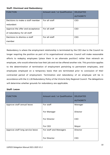#### <span id="page-10-0"></span>**Staff: Dismissal and Redundancy**

| <b>FUNCTION</b>                  | Amount and / or Qualification | <b>DELEGATED</b> |
|----------------------------------|-------------------------------|------------------|
|                                  |                               | <b>AUTHORITY</b> |
| Decisions to make a staff member | For all staff                 | <b>CEO</b>       |
| redundant                        |                               |                  |
| Approve the offer and acceptance | For all staff                 | <b>CEO</b>       |
| of redundancy for all staff      |                               |                  |
| Decisions to dismiss a staff     | For all staff                 | <b>CEO</b>       |
| member                           |                               |                  |

Redundancy is where the employment relationship is terminated by the CEO due to the Council no longer requiring the position as part of its organisational structure. Council will make reasonable efforts to redeploy employees (place them in an alternate position) rather than retrench an employee, who would otherwise lose their job and not be offered another role. This provision applies to the determination of termination of employment pertaining to permanent employees, and employees employed on a temporary basis that are terminated prior to conclusion of their contracted period of employment. Termination and redundancy of an employee will be in accordance with the 2.1.28 Redundancy Policy of the Victoria Daly Regional Council. The delegations will determine whether grounds for redundancy are applicable.

#### <span id="page-10-1"></span>**Staff: Leave**

| <b>FUNCTION</b>                  | Amount and / or Qualification | <b>DELEGATED</b><br><b>AUTHORITY</b> |
|----------------------------------|-------------------------------|--------------------------------------|
| Approve staff annual leave       | For staff                     | Manager                              |
|                                  | For Manager                   | <b>Director</b>                      |
|                                  | For Director                  | <b>CEO</b>                           |
|                                  | For CEO                       | Mayor                                |
| Approve staff long service leave | For staff and Managers        | Director                             |
|                                  | For Director                  | CEO                                  |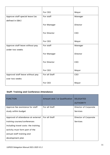|                                  | For CEO       | Mayor      |
|----------------------------------|---------------|------------|
| Approve staff special leave (as  | For staff     | Manager    |
| defined in EBA)                  |               |            |
|                                  | For Manager   | Director   |
|                                  | For Director  | <b>CEO</b> |
|                                  | For CEO       | Mayor      |
| Approve staff leave without pay  | For staff     | Manager    |
| under two weeks                  |               |            |
|                                  | For Manager   | Director   |
|                                  | For Director  | CEO        |
|                                  | For CEO       | Mayor      |
| Approval staff leave without pay | For all Staff | CEO        |
| over two weeks                   |               |            |
|                                  | For CEO       | Mayor      |

# <span id="page-11-0"></span>**Staff: Training and Conference Attendance**

| <b>FUNCTION</b>                      | Amount and / or Qualification | <b>DELEGATED</b><br><b>AUTHORITY</b> |
|--------------------------------------|-------------------------------|--------------------------------------|
| Approve fee assistance for staff     | For all Staff                 | Director of Corporate                |
| study within budget                  |                               | Services                             |
| Approval of attendance at external   | For all Staff                 | Director of Corporate                |
| training courses/conferences         |                               | Services                             |
| including travel costs- the training |                               |                                      |
| activity must form part of the       |                               |                                      |
| annual staff training and            |                               |                                      |
| development plan                     |                               |                                      |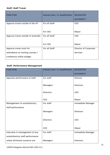#### <span id="page-12-0"></span>**Staff: Staff Travel**

| <b>FUNCTION</b>                     | Amount and / or Qualification | <b>DELEGATED</b><br><b>AUTHORITY</b> |
|-------------------------------------|-------------------------------|--------------------------------------|
| Approve travel outside of the NT    | For all Staff                 | <b>CEO</b>                           |
|                                     | For CEO                       | Mayor                                |
| Approve travel outside of Australia | For all Staff                 | <b>CEO</b>                           |
|                                     | For CEO                       | Mayor                                |
| Approve travel costs for            | For all Staff                 | Director of Corporate                |
| attendance at training courses /    |                               | Services                             |
| conference within budget            |                               |                                      |

# <span id="page-12-1"></span>**Staff: Performance Management**

| <b>FUNCTION</b>                  | Amount and / or Qualification | <b>DELEGATED</b>         |
|----------------------------------|-------------------------------|--------------------------|
|                                  |                               | <b>AUTHORITY</b>         |
| Appraise performance of staff    | For staff                     | Director                 |
|                                  | Managers                      | <b>Directors</b>         |
|                                  | <b>Directors</b>              | CEO                      |
|                                  | <b>CEO</b>                    | Mayor                    |
| Management of unsatisfactory     | For staff                     | Immediate Manager        |
| staff performance                |                               |                          |
|                                  | Managers                      | <b>Directors</b>         |
|                                  |                               |                          |
|                                  | <b>Directors</b>              | <b>CEO</b>               |
|                                  |                               |                          |
|                                  | CEO                           | Mayor                    |
| Intervene in management of any   | For staff                     | <b>Immediate Manager</b> |
| unsatisfactory staff performance |                               |                          |
| where divisional concerns are    | Managers                      | <b>Directors</b>         |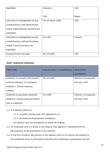| identified                        | <b>Directors</b>     | <b>CEO</b> |
|-----------------------------------|----------------------|------------|
|                                   |                      |            |
|                                   | <b>CEO</b>           | Mayor      |
| Intervene in management of any    | For all senior staff | CEO        |
| unsatisfactory staff performance  |                      |            |
| where organisational concerns are |                      |            |
| identified                        |                      |            |
| Intervene in management of any    | For CEO              | Council    |
| unsatisfactory staff performance  |                      |            |
| where Council concerns are        |                      |            |
| identified                        |                      |            |
| <b>Issuing formal warnings</b>    | For all staff        | CEO        |

#### <span id="page-13-0"></span>**Staff: Industrial Relations**

| <b>FUNCTION</b>                    | Amount and / or Qualification | <b>DELEGATED</b><br><b>AUTHORITY</b> |
|------------------------------------|-------------------------------|--------------------------------------|
| Authority to consult with Councils | For all staff                 | Director of Corporate                |
| external advisors, on industrial   |                               | Services, CEO                        |
| relations / human resource         |                               |                                      |
| matters.                           |                               |                                      |
| Authority to purchase industrial   | For staff                     | Director of Corporate                |
| relations / human resource advice  |                               | Services, CEO                        |
| and or expertise.                  |                               |                                      |

- 1.1. If a dispute relates to:
	- 1.1.1. a matter arising under this Agreement; or
	- 1.1.2. the National Employment Standards;

this Section sets out procedures to settle the dispute.

- 1.2. An employee who is a party to the dispute may appoint a representative for the purposes of the procedures in this Section.
- 1.3. In the first instance, the parties to the dispute must try to resolve the dispute at the workplace level, by discussions between the employee or employees and the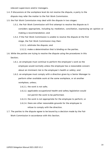relevant supervisors and/or managers.

- 1.4. If discussions at the workplace level do not resolve the dispute, a party to the dispute may refer the matter to the Fair Work Commission.
- 1.5. the Fair Work Commission may deal with the dispute in two stages:
	- 1.5.1. the Fair Work Commission will first attempt to resolve the dispute as it considers appropriate, including by mediation, conciliation, expressing an opinion or making a recommendation; and
	- 1.5.2. if the Fair Work Commission is unable to resolve the dispute at the first stage, the Fair Work Commission may then:

1.5.2.1. arbitrate the dispute; and

1.5.2.2. make a determination that is binding on the parties.

- 1.6. While the parties are trying to resolve the dispute using the procedures in this Section;
	- 1.6.1. an employee must continue to perform the employee's work as the employee would normally unless the employee has a reasonable concern about an imminent risk to the employee's health or safety; and
	- 1.6.2. an employee must comply with a direction given by a Senior Manager to perform other available work at the same workplace, or at another workplace, unless;
		- 1.6.2.1. the work is not safe;
		- 1.6.2.2. applicable occupational health and safety legislation would not permit the work to be performed;
		- 1.6.2.3. the work is not appropriate for the employee to perform; or
		- 1.6.2.4. there are other reasonable grounds for the employee to refuse to comply with the direction.
- 1.7. The parties to the dispute agree to be bound by a decision made by the Fair Work Commission in accordance with this Section.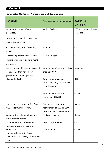# <span id="page-15-0"></span>**6. Contracts**

# <span id="page-15-1"></span>**Contracts: Contracts, Agreements and Submissions**

| <b>FUNCTION</b>                    | Amount and / or Qualification   | <b>DELEGATED</b>       |
|------------------------------------|---------------------------------|------------------------|
|                                    |                                 | <b>AUTHORITY</b>       |
| Approve the lease of new           | Within Budget                   | CEO through resolution |
| premises,                          |                                 | of Council             |
| sub leases of existing premises    |                                 |                        |
| and lease renewals                 |                                 |                        |
|                                    |                                 |                        |
| Cancel existing land / building    | All types                       | CEO                    |
| leases                             |                                 |                        |
| Approve appointment of insurers    | Within Budget                   | <b>CEO</b>             |
| details of contract and payment of |                                 |                        |
| premiums                           |                                 |                        |
| Authorise appointment of external  | Total value of contract is less | <b>Directors</b>       |
| consultants that have been         | than \$10,000                   |                        |
| provided for in the approved       |                                 |                        |
| Council Budget                     | Total value of contract is      | <b>CEO</b>             |
|                                    | more than \$10,000, but less    |                        |
|                                    | than \$50,000                   |                        |
|                                    |                                 |                        |
|                                    | Total value of contract is      | Council                |
|                                    | more than \$50,000              |                        |
|                                    |                                 |                        |
| Subject to recommendation from     | For matters relating to         | Mayor                  |
| <b>CEO Performance Review</b>      | recruitment of CEO or CEO       |                        |
|                                    | performance management.         |                        |
| Approve the sale, purchase and     | All types/values                | Council                |
| development of land                |                                 |                        |
| Approve tenders and contracts      | Less than \$100,000             | <b>CEO</b>             |
| with suppliers of goods and        |                                 |                        |
| services.*                         | Over \$100,000                  | Council                |
| *In accordance with Local          |                                 |                        |
| Government (General) Regulations   |                                 |                        |
| 2021                               |                                 |                        |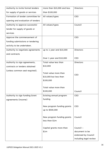| Authority to invite formal tenders | more than \$10,000 and less | <b>Directors</b>       |
|------------------------------------|-----------------------------|------------------------|
| for supply of goods or services    | than \$100,000              |                        |
| Formation of tender committee for  | All values/types            | CEO                    |
| opening and evaluation of tenders  |                             |                        |
| Authority to approve successful    | All values/types            | Council                |
| tender for supply of goods or      |                             |                        |
| services                           |                             |                        |
| Approve the commencement of        |                             | CEO                    |
| funding submissions or tendering   |                             |                        |
| activity to be undertaken.         |                             |                        |
| Authority to negotiate agreements  | up to 1 year and \$10,000   | <b>Directors</b>       |
| and contracts                      |                             |                        |
|                                    | Over 1 year and \$10,000    | <b>CEO</b>             |
| Authority to sign agreements,      | Total value less than       | <b>Directors</b>       |
| contracts or tenders obtained      | \$10,000                    |                        |
| (unless common seal required).     |                             |                        |
|                                    | Total value more than       | CEO                    |
|                                    | \$10,000 but less than      |                        |
|                                    | \$100,000                   |                        |
|                                    | Total value more than       |                        |
|                                    | \$100,000                   | Council                |
| Authority to sign funding Grant    | Existing annual program     | <b>CEO</b>             |
| agreements (income)                | funding                     |                        |
|                                    |                             |                        |
|                                    | New program funding grants  | CEO                    |
|                                    | up to \$500,000             |                        |
|                                    | New program funding grants  | Council                |
|                                    | less than \$1m              |                        |
|                                    |                             |                        |
|                                    | Capital grants more than    | Council -              |
|                                    | \$1m                        | document to be         |
|                                    |                             | endorsed by Council    |
|                                    |                             | including legal review |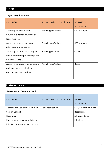#### <span id="page-17-1"></span><span id="page-17-0"></span>**Legal: Legal Matters**

| <b>FUNCTION</b>                     | Amount and / or Qualification | <b>DELEGATED</b><br><b>AUTHORITY</b> |
|-------------------------------------|-------------------------------|--------------------------------------|
| Authority to consult with           | For all types/values          | CEO / Mayor                          |
| Council's external advisors, on     |                               |                                      |
| legal matters.                      |                               |                                      |
| Authority to purchase, legal        | For all types/values          | CEO / Mayor                          |
| advice and/or expertise             |                               |                                      |
| Authority to settle court, legal or | For all types/values          | Council                              |
| any other formal proceedings and    |                               |                                      |
| bind the Council.                   |                               |                                      |
| Authority to approve expenditure    | For all types/values          | Council                              |
| on legal matters, which are         |                               |                                      |
| outside approved budget.            |                               |                                      |
|                                     |                               |                                      |

# <span id="page-17-2"></span>**8. Governance**

#### <span id="page-17-3"></span>**Governance: Common Seal**

| <b>FUNCTION</b>                   | Amount and / or Qualification | <b>DELEGATED</b><br><b>AUTHORITY</b> |
|-----------------------------------|-------------------------------|--------------------------------------|
| Approve the use of the Common     | For Organisation              | CEO/Mayor by Council                 |
| Seal of Council                   |                               | Resolution                           |
| Resolution                        |                               | All pages to be                      |
| Each page of document is to be    |                               | initialed.                           |
| initialed by either Mayor or CEO. |                               |                                      |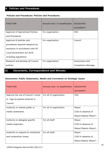#### <span id="page-18-1"></span><span id="page-18-0"></span>**Policies and Procedures: Policies and Procedures**

| <b>FUNCTION</b>                                     | Amount and / or Qualification | <b>DELEGATED</b>   |
|-----------------------------------------------------|-------------------------------|--------------------|
|                                                     |                               | <b>AUTHORITY</b>   |
| Approval of Operational Policies                    | For organisation              | <b>CEO</b>         |
| and Procedures                                      |                               |                    |
| Approval of policies and                            | For organisation              | Council            |
| procedures required adoption by                     |                               |                    |
| resolution in accordance with NT                    |                               |                    |
| Local Government Act 2019,                          |                               |                    |
| including regulations.                              |                               |                    |
| Research and develop all Council                    | For organisation              | Governance and     |
| policies                                            |                               | Compliance Manager |
| 10.<br><b>Documents, Correspondence and Minutes</b> |                               |                    |

# <span id="page-18-3"></span><span id="page-18-2"></span>**Documents: Public Statements, Media and Comments on Strategic Issues**

| <b>FUNCTION</b>                     | Amount and / or Qualification | <b>DELEGATED</b><br><b>AUTHORITY</b> |
|-------------------------------------|-------------------------------|--------------------------------------|
| Approve the use of Council's name   | For all of organisation       | CEO                                  |
| or logo by parties external to      |                               |                                      |
| Council.                            |                               |                                      |
| Authority to release public or      | For all of organisation       | Mayor                                |
| media statements                    |                               | (CEO in absence of                   |
|                                     |                               | Mayor/Deputy Mayor)                  |
| Authority to delegate specific      | For all Staff                 | Mayor                                |
| media responses                     |                               | (CEO in absence of                   |
|                                     |                               | Mayor/Deputy Mayor)                  |
| Authority to respond to ministerial | For all Staff                 | Mayor                                |
| and contentious issues.             |                               | (CEO in absence of                   |
|                                     |                               | Mayor/Deputy Mayor)                  |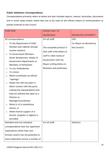#### <span id="page-19-0"></span>**Public Relations: Correspondence**

Correspondence primarily refers to letters but also includes reports, memos, facsimiles, documents and in some cases emails where they are to be used as the official means of communication to parties external to the Council.

|                               | <b>FUNCTION</b>                                                                                                                                                                                                                                                               | Amount and / or                                         |                            |
|-------------------------------|-------------------------------------------------------------------------------------------------------------------------------------------------------------------------------------------------------------------------------------------------------------------------------|---------------------------------------------------------|----------------------------|
|                               |                                                                                                                                                                                                                                                                               | Qualification                                           | <b>DELEGATED AUTHORITY</b> |
|                               | All correspondence:                                                                                                                                                                                                                                                           | For all staff                                           | CEO                        |
| $\circ$                       | To the Department of Chief                                                                                                                                                                                                                                                    |                                                         | (or Mayor as directed by   |
|                               | Minister and Cabinet (except<br>routine matters)                                                                                                                                                                                                                              | The accepted protocol is<br>that staff write letters to | the Council)               |
| $\circ$                       | To Government Ministers,<br>Senior Bureaucrats, Heads of<br>Government Departments or                                                                                                                                                                                         | staff in other levels of<br>Government with the         |                            |
|                               | <b>Members of Parliament</b>                                                                                                                                                                                                                                                  | Mayor writing letters to                                |                            |
| $\circ$                       | To any Ombudsman                                                                                                                                                                                                                                                              | Ministers and politicians.                              |                            |
| $\circ$                       | <b>To Unions</b>                                                                                                                                                                                                                                                              |                                                         |                            |
| $\Omega$                      | Which constitutes an official<br>"apology"                                                                                                                                                                                                                                    |                                                         |                            |
| $\circ$<br>$\circ$<br>$\circ$ | Where the CEO has been in<br>direct contact with the party<br>making the representation and<br>had not referred the reply to a<br>Director or<br>Manager/Coordinator<br>Which is of a contentious<br>nature, or<br>Where formal support of a<br>service, program or agency is |                                                         |                            |
|                               | provided.                                                                                                                                                                                                                                                                     |                                                         |                            |
|                               | Standard and non-standard                                                                                                                                                                                                                                                     | For all staff                                           | <b>Directors</b>           |
|                               | correspondence that has significant                                                                                                                                                                                                                                           |                                                         |                            |
|                               | implications within their own                                                                                                                                                                                                                                                 |                                                         |                            |
|                               | Division and/or has the potential to                                                                                                                                                                                                                                          |                                                         |                            |
|                               | have implication across a number of                                                                                                                                                                                                                                           |                                                         |                            |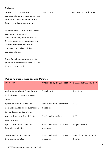| <b>Divisions</b>                     |               |                        |
|--------------------------------------|---------------|------------------------|
| Standard and non-standard            | For all staff | Managers/Coordinators* |
| correspondence which is part of the  |               |                        |
| normal business activities of the    |               |                        |
| Council and is not contentious.      |               |                        |
|                                      |               |                        |
| Managers and Coordinators need to    |               |                        |
| consider, in signing off             |               |                        |
| correspondence, whether the CEO,     |               |                        |
| Directors and other Managers and     |               |                        |
| Coordinators may need to be          |               |                        |
| consulted or advised of the          |               |                        |
| correspondence.                      |               |                        |
|                                      |               |                        |
| Note: Specific delegation may be     |               |                        |
| given to other staff with the CEO or |               |                        |
| Director's approval.                 |               |                        |
|                                      |               |                        |

# <span id="page-20-0"></span>**Public Relations: Agendas and Minutes**

| <b>FUNCTION</b>                     | Amount and / or Qualification | <b>DELEGATED AUTHORITY</b> |
|-------------------------------------|-------------------------------|----------------------------|
| Authority to submit Council reports | For all staff                 | <b>Directors</b>           |
| for inclusion in Council agenda     |                               |                            |
| papers                              |                               |                            |
| Approval of final Council or        | For Council and Committee     | CEO                        |
| Committee Agenda for submission     | meetings                      |                            |
| to the Council or Committee         |                               |                            |
| Approval for inclusion of "Late     | For Council meetings          | <b>CEO</b>                 |
| Agenda Item"                        |                               |                            |
| Approval of draft Council or        | For Council and Committee     | Mayor and CEO              |
| <b>Committee Minutes</b>            | Meetings                      |                            |
|                                     |                               |                            |
| Conformation of Council or          | For Council and Committee     | Council by resolution of   |
| <b>Committee Minutes</b>            | meetings                      | Council                    |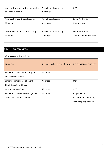| Approval of Agenda for submission      | For all Local Authority | <b>CEO</b>              |
|----------------------------------------|-------------------------|-------------------------|
| to Local Authority                     | meetings                |                         |
|                                        |                         |                         |
| Approval of draft Local Authority      | For all Local Authority | Local Authority         |
| <b>Minutes</b>                         | Meetings                | Chairperson             |
|                                        |                         |                         |
| <b>Conformation of Local Authority</b> | For all Local Authority | Local Authority         |
| <b>Minutes</b>                         | Meetings                | Committee by resolution |
|                                        |                         |                         |
|                                        |                         |                         |

# <span id="page-21-0"></span>**11. Complaints**

# <span id="page-21-1"></span>**Complaints: Complaints**

| <b>FUNCTION</b>                   | Amount and / or Qualification | <b>DELEGATED AUTHORITY</b> |
|-----------------------------------|-------------------------------|----------------------------|
| Resolution of external complaints | All types                     | CEO                        |
| not included below                |                               |                            |
| External complaints about the     | All types                     | Mayor                      |
| <b>Chief Executive Officer</b>    |                               |                            |
| Internal complaints               | All types                     | <b>CEO</b>                 |
| Resolution of complaints against  | All types                     | As per Local               |
| Councillor's and/or Mayor         |                               | Government Act 2019,       |
|                                   |                               | including regulations.     |
|                                   |                               |                            |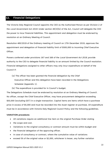#### <span id="page-22-0"></span>**12. Financial Delegations**

The Victoria Daly Regional Council appoints the CEO as the Authorised Person as per Division 2 of the Local Government Act 2019. Under section 40(3)(b) of the Act, Council will delegate the CEO the power to incur financial liabilities. This appointment and delegation must be endorsed by resolution at an Ordinary Meeting of Council.

Resolution 485/2019 of the Ordinary meeting of Council on 17th December 2019, approves the appointment and delegation of financial liability limit of \$500,000 to incoming Chief Executive Officer.

Powers conferred under provisions 167 and 168 of the Local Government Act 2019, provide authority to the CEO to delegate financial liability to an amount limited by the Council resolution. Financial delegations assigned to other officers may only incur expenditure on behalf of the Council if:

- (a) The officer has been granted the financial delegation by the Chief Executive Officer and this delegation have been recorded in the Delegations Schedule (Appendix 1).
- (b) The expenditure is provided for in Council's budget.

The Delegations Schedule must be endorsed by resolution at an Ordinary Meeting of Council. No officer, except the Chief Executive Officer, may have procurement delegation exceeding \$50,000 (excluding GST) in a single transaction. Capital items are items which have a purchase price in excess of \$5,000 and must be recorded into the Asset register at purchase. All expenditure must be in accordance with Victoria Daly Regional Council Policy and the following guidelines.

#### **VARIATION procedures**

- All variations require an additional line item on the original Purchase Order stating
- the scope and cost.
- Variations to the original consultancy or contract amount must be within budget and
- the financial delegation of the approving officer.
- In case of consultancy or contract, where the cumulative value of variations
- exceed 5% of the original value or \$2,000, whichever is lesser, any further variation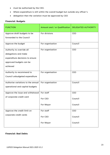- must be authorised by the CEO.
- Where expenditure is still within the overall budget but outside any officer's
- delegation then the variation must be approved by CEO

#### <span id="page-23-0"></span>**Financial: Budgets**

| <b>FUNCTION</b>                    | Amount and / or Qualification | <b>DELEGATED AUTHORITY</b> |
|------------------------------------|-------------------------------|----------------------------|
| Approve draft budgets to be        | For divisions                 | <b>CEO</b>                 |
| forwarded to the Council           |                               |                            |
| Approve the budget                 | For organisation              | Council                    |
| Authority to override all          | For organisation              | <b>CEO</b>                 |
| delegations and make               |                               |                            |
| expenditure decisions to ensure    |                               |                            |
| approved budgets can be            |                               |                            |
| achieved                           |                               |                            |
| Authority to recommend to          | For organisation              | <b>CEO</b>                 |
| Council unbudgeted expenditure     |                               |                            |
| Authorise variations to the annual | For organisation              | Council                    |
| operational and capital budgets    |                               |                            |
| Approve the issue and withdrawal   | For staff                     | CEO                        |
| of corporate credit card           | For CEO                       | Council                    |
|                                    | For Mayor                     | Council                    |
| Approve the credit limit on        | For staff                     | CEO                        |
| corporate credit cards             | For CEO                       | Council                    |
|                                    | For Mayor                     | Council                    |

#### <span id="page-23-1"></span>**Financial: Bad Debts**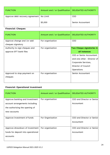| <b>FUNCTION</b>                            | Amount and / or Qualification | <b>DELEGATED AUTHORITY</b> |
|--------------------------------------------|-------------------------------|----------------------------|
| Approve debt recovery agreement   No Limit |                               | CEO                        |
|                                            | \$5,000                       | Senior Accountant          |

# <span id="page-24-0"></span>**Financial: Cheques**

| <b>FUNCTION</b>               | Amount and / or Qualification | <b>DELEGATED AUTHORITY</b> |
|-------------------------------|-------------------------------|----------------------------|
| Approve change and /or add    | For organisation              | CEO                        |
| cheques signatory             |                               |                            |
| Authority to sign cheques and | For organisation              | Two Cheque signatories in  |
| approve EFT bank files        |                               | all instances              |
|                               |                               | CEO or Senior Accountant   |
|                               |                               | and one other: Director of |
|                               |                               | Corporate Services,        |
|                               |                               | Director of Council        |
|                               |                               | Operations                 |
| Approval to stop payment on   | For organisation              | Senior Accountant          |
| cheques                       |                               |                            |
|                               |                               |                            |

# <span id="page-24-1"></span>**Financial: Operational Investment**

| <b>FUNCTION</b>                    | Amount and / or Qualification | <b>DELEGATED AUTHORITY</b> |
|------------------------------------|-------------------------------|----------------------------|
| Approve banking and investment     | For organisation              | CEO and Director or Senior |
| account arrangements including     |                               | Accountant                 |
| the authorising the opening of     |                               |                            |
| new accounts                       |                               |                            |
|                                    |                               |                            |
| Approve investment of funds        | For Organisation              | CEO and Director or Senior |
|                                    |                               | Accountant                 |
|                                    |                               |                            |
| Approve drawdown of investment     | For organisation              | CEO and Director or Senior |
| funds for deposit into operational |                               | Accountant                 |
| accounts                           |                               |                            |
|                                    |                               |                            |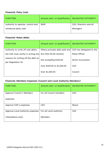# <span id="page-25-0"></span>**Financial: Petty Cash**

| <b>FUNCTION</b>                   | Amount and / or Qualification   DELEGATED AUTHORITY |                        |
|-----------------------------------|-----------------------------------------------------|------------------------|
| Authority to operate, control and | \$500                                               | CEO, Directors and all |
| reimburse petty cash              |                                                     | Managers               |

#### <span id="page-25-1"></span>**Financial: Rates debts**

| <b>FUNCTION</b>                                           | Amount and / or Qualification                          | <b>DELEGATED AUTHORITY</b> |
|-----------------------------------------------------------|--------------------------------------------------------|----------------------------|
| Authority to write off rate debts,                        | Where principle debt paid and CEO has delegated to the |                            |
| the CEO must certify in writing the                       | less than \$5.00 remains                               | Rates Officer              |
| reasons for writing off the debt as<br>per Regulation 32. | Not exceeding \$100.00                                 | Senior Accountant          |
|                                                           | Over \$100.00 to \$1,000.00                            | CEO                        |
|                                                           | Over \$1,000.00                                        | Council                    |

# <span id="page-25-2"></span>**Financial: Members Expenses (Council and Local Authority Members)**

| <b>FUNCTION</b>                  | Amount and / or Qualification | <b>DELEGATED AUTHORITY</b> |
|----------------------------------|-------------------------------|----------------------------|
|                                  |                               |                            |
| Approve Council's Members        | For all Council members       | <b>CEO</b>                 |
|                                  |                               |                            |
| expenses                         |                               |                            |
|                                  |                               |                            |
| Approve CEO's expenses           | <b>CEO</b>                    | Mayor                      |
|                                  |                               |                            |
| Approve Local Authority expenses | For all Local Authority       | <b>CEO</b>                 |
|                                  |                               |                            |
| (Attendance only)                | <b>Members</b>                |                            |
|                                  |                               |                            |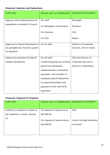# <span id="page-26-0"></span>**Financial: Salaries and Deductions**

| <b>FUNCTION</b>                   | Amount and / or Qualification  | <b>DELEGATED AUTHORITY</b>    |
|-----------------------------------|--------------------------------|-------------------------------|
| Approve staff reimbursement for   | For staff                      | Managers                      |
| expenditure on behalf of Council  | For Managers/ Coordinators     | <b>Directors</b>              |
|                                   | For Directors                  | <b>CEO</b>                    |
|                                   | For CEO                        | Mayor                         |
| Approval for Payroll documents to | For all staff                  | Director of Corporate         |
| be uploaded into financial system |                                | Services, CEO to review       |
| for payment.                      |                                |                               |
| Approve for payment all payroll   | For all staff                  | CEO and Director of           |
| related transactions              | comprising group tax remittal, | Corporate Services or         |
|                                   | payroll tax settlement,        | <b>Director of Operations</b> |
|                                   | superannuation contribution    |                               |
|                                   | payments, and transfers of     |                               |
|                                   | employee payroll deductions    |                               |
|                                   | to authorised entities and     |                               |
|                                   | payment of GST and PAYG        |                               |
|                                   | payments.                      |                               |

# <span id="page-26-1"></span>**Financial: Disposal of Property**

| <b>FUNCTION</b>                                                              | Amount and / or Qualification                                                              | <b>DELEGATED AUTHORITY</b>                             |
|------------------------------------------------------------------------------|--------------------------------------------------------------------------------------------|--------------------------------------------------------|
| Authority to dispose of Assets as<br>per Guideline 4, Assets, Section<br>10. | For disposal of assets up to<br>\$20,000.00<br>For disposal of assets above<br>\$20,000.00 | <b>CEO</b><br>Council through resolution<br>of Council |